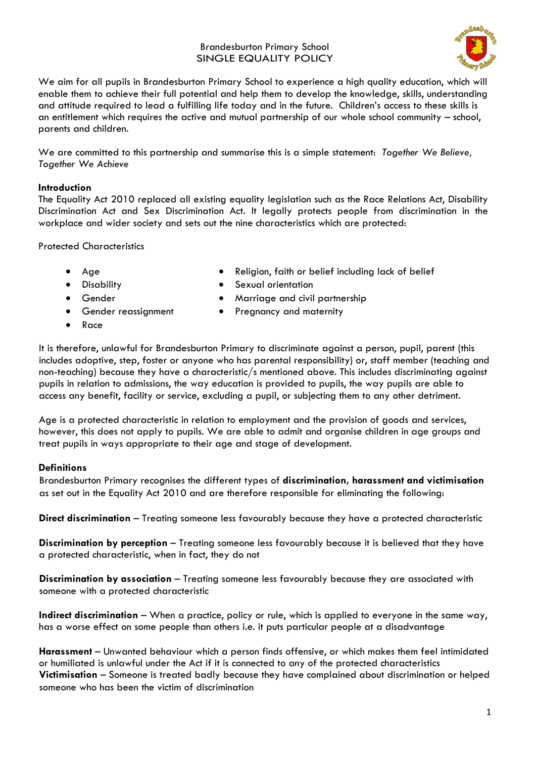#### Brandesburton Primary School SINGLE EQUALITY POLICY



We aim for all pupils in Brandesburton Primary School to experience a high quality education, which will enable them to achieve their full potential and help them to develop the knowledge, skills, understanding and attitude required to lead a fulfilling life today and in the future. Children's access to these skills is an entitlement which requires the active and mutual partnership of our whole school community – school, parents and children.

We are committed to this partnership and summarise this is a simple statement: *Together We Believe, Together We Achieve*

#### **Introduction**

The Equality Act 2010 replaced all existing equality legislation such as the Race Relations Act, Disability Discrimination Act and Sex Discrimination Act. It legally protects people from discrimination in the workplace and wider society and sets out the nine characteristics which are protected:

#### Protected Characteristics

- 
- 
- -
- Age Religion, faith or belief including lack of belief
- Disability **•** Sexual orientation
- Gender Marriage and civil partnership
- Gender reassignment Pregnancy and maternity
- Race

It is therefore, unlawful for Brandesburton Primary to discriminate against a person, pupil, parent (this includes adoptive, step, foster or anyone who has parental responsibility) or, staff member (teaching and non-teaching) because they have a characteristic/s mentioned above. This includes discriminating against pupils in relation to admissions, the way education is provided to pupils, the way pupils are able to access any benefit, facility or service, excluding a pupil, or subjecting them to any other detriment.

Age is a protected characteristic in relation to employment and the provision of goods and services, however, this does not apply to pupils. We are able to admit and organise children in age groups and treat pupils in ways appropriate to their age and stage of development.

## **Definitions**

Brandesburton Primary recognises the different types of **discrimination, harassment and victimisation** as set out in the Equality Act 2010 and are therefore responsible for eliminating the following:

**Direct discrimination** – Treating someone less favourably because they have a protected characteristic

**Discrimination by perception** – Treating someone less favourably because it is believed that they have a protected characteristic, when in fact, they do not

**Discrimination by association** – Treating someone less favourably because they are associated with someone with a protected characteristic

**Indirect discrimination** – When a practice, policy or rule, which is applied to everyone in the same way, has a worse effect on some people than others i.e. it puts particular people at a disadvantage

**Harassment** – Unwanted behaviour which a person finds offensive, or which makes them feel intimidated or humiliated is unlawful under the Act if it is connected to any of the protected characteristics **Victimisation** – Someone is treated badly because they have complained about discrimination or helped someone who has been the victim of discrimination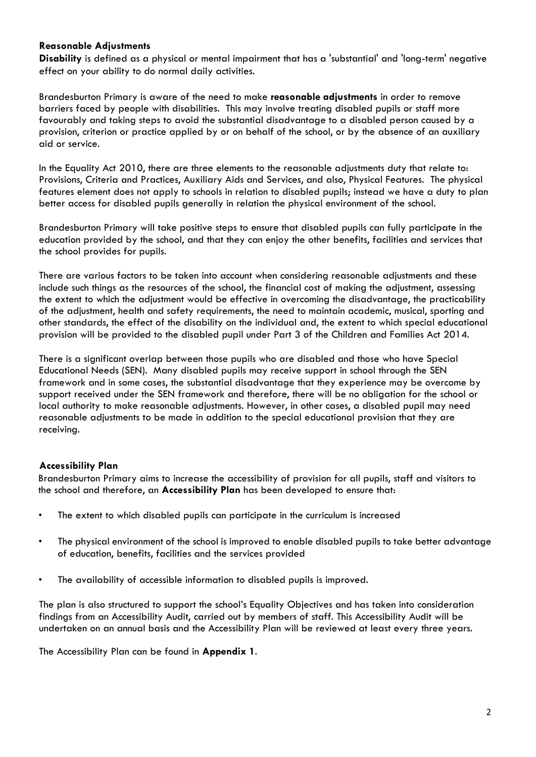## **Reasonable Adjustments**

**Disability** is defined as a physical or mental impairment that has a 'substantial' and 'long-term' negative effect on your ability to do normal daily activities.

Brandesburton Primary is aware of the need to make **reasonable adjustments** in order to remove barriers faced by people with disabilities. This may involve treating disabled pupils or staff more favourably and taking steps to avoid the substantial disadvantage to a disabled person caused by a provision, criterion or practice applied by or on behalf of the school, or by the absence of an auxiliary aid or service.

In the Equality Act 2010, there are three elements to the reasonable adjustments duty that relate to: Provisions, Criteria and Practices, Auxiliary Aids and Services, and also, Physical Features. The physical features element does not apply to schools in relation to disabled pupils; instead we have a duty to plan better access for disabled pupils generally in relation the physical environment of the school.

Brandesburton Primary will take positive steps to ensure that disabled pupils can fully participate in the education provided by the school, and that they can enjoy the other benefits, facilities and services that the school provides for pupils.

There are various factors to be taken into account when considering reasonable adjustments and these include such things as the resources of the school, the financial cost of making the adjustment, assessing the extent to which the adjustment would be effective in overcoming the disadvantage, the practicability of the adjustment, health and safety requirements, the need to maintain academic, musical, sporting and other standards, the effect of the disability on the individual and, the extent to which special educational provision will be provided to the disabled pupil under Part 3 of the Children and Families Act 2014.

There is a significant overlap between those pupils who are disabled and those who have Special Educational Needs (SEN). Many disabled pupils may receive support in school through the SEN framework and in some cases, the substantial disadvantage that they experience may be overcome by support received under the SEN framework and therefore, there will be no obligation for the school or local authority to make reasonable adjustments. However, in other cases, a disabled pupil may need reasonable adjustments to be made in addition to the special educational provision that they are receiving.

## **Accessibility Plan**

Brandesburton Primary aims to increase the accessibility of provision for all pupils, staff and visitors to the school and therefore, an **Accessibility Plan** has been developed to ensure that:

- The extent to which disabled pupils can participate in the curriculum is increased
- The physical environment of the school is improved to enable disabled pupils to take better advantage of education, benefits, facilities and the services provided
- The availability of accessible information to disabled pupils is improved.

The plan is also structured to support the school's Equality Objectives and has taken into consideration findings from an Accessibility Audit, carried out by members of staff. This Accessibility Audit will be undertaken on an annual basis and the Accessibility Plan will be reviewed at least every three years.

The Accessibility Plan can be found in **Appendix 1**.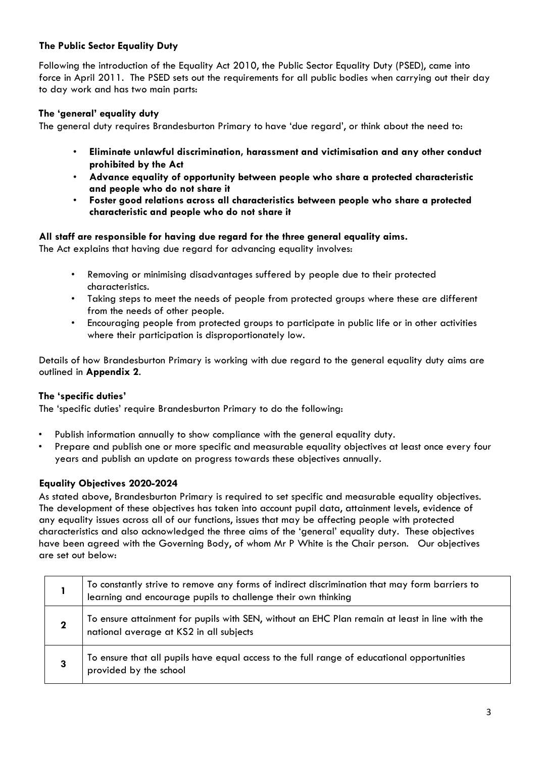# **The Public Sector Equality Duty**

Following the introduction of the Equality Act 2010, the Public Sector Equality Duty (PSED), came into force in April 2011. The PSED sets out the requirements for all public bodies when carrying out their day to day work and has two main parts:

# **The 'general' equality duty**

The general duty requires Brandesburton Primary to have 'due regard', or think about the need to:

- **Eliminate unlawful discrimination, harassment and victimisation and any other conduct prohibited by the Act**
- **Advance equality of opportunity between people who share a protected characteristic and people who do not share it**
- **Foster good relations across all characteristics between people who share a protected characteristic and people who do not share it**

## **All staff are responsible for having due regard for the three general equality aims.**

The Act explains that having due regard for advancing equality involves:

- Removing or minimising disadvantages suffered by people due to their protected characteristics.
- Taking steps to meet the needs of people from protected groups where these are different from the needs of other people.
- Encouraging people from protected groups to participate in public life or in other activities where their participation is disproportionately low.

Details of how Brandesburton Primary is working with due regard to the general equality duty aims are outlined in **Appendix 2**.

## **The 'specific duties'**

The 'specific duties' require Brandesburton Primary to do the following:

- Publish information annually to show compliance with the general equality duty.
- Prepare and publish one or more specific and measurable equality objectives at least once every four years and publish an update on progress towards these objectives annually.

#### **Equality Objectives 2020-2024**

As stated above, Brandesburton Primary is required to set specific and measurable equality objectives. The development of these objectives has taken into account pupil data, attainment levels, evidence of any equality issues across all of our functions, issues that may be affecting people with protected characteristics and also acknowledged the three aims of the 'general' equality duty. These objectives have been agreed with the Governing Body, of whom Mr P White is the Chair person. Our objectives are set out below:

|             | To constantly strive to remove any forms of indirect discrimination that may form barriers to learning and encourage pupils to challenge their own thinking |
|-------------|-------------------------------------------------------------------------------------------------------------------------------------------------------------|
| $\mathbf 2$ | To ensure attainment for pupils with SEN, without an EHC Plan remain at least in line with the national average at KS2 in all subjects                      |
|             | To ensure that all pupils have equal access to the full range of educational opportunities<br>provided by the school                                        |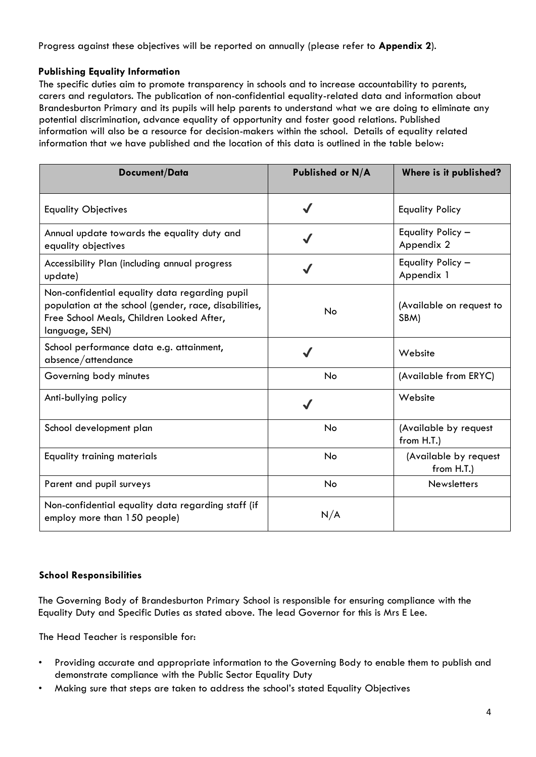Progress against these objectives will be reported on annually (please refer to **Appendix 2**).

## **Publishing Equality Information**

The specific duties aim to promote transparency in schools and to increase accountability to parents, carers and regulators. The publication of non-confidential equality-related data and information about Brandesburton Primary and its pupils will help parents to understand what we are doing to eliminate any potential discrimination, advance equality of opportunity and foster good relations. Published information will also be a resource for decision-makers within the school. Details of equality related information that we have published and the location of this data is outlined in the table below:

| Document/Data                                                                                                                                                          | Published or N/A | Where is it published?              |
|------------------------------------------------------------------------------------------------------------------------------------------------------------------------|------------------|-------------------------------------|
| <b>Equality Objectives</b>                                                                                                                                             | $\checkmark$     | <b>Equality Policy</b>              |
| Annual update towards the equality duty and<br>equality objectives                                                                                                     |                  | Equality Policy -<br>Appendix 2     |
| Accessibility Plan (including annual progress<br>update)                                                                                                               |                  | Equality Policy -<br>Appendix 1     |
| Non-confidential equality data regarding pupil<br>population at the school (gender, race, disabilities,<br>Free School Meals, Children Looked After,<br>language, SEN) | No               | (Available on request to<br>SBM)    |
| School performance data e.g. attainment,<br>absence/attendance                                                                                                         |                  | Website                             |
| Governing body minutes                                                                                                                                                 | No               | (Available from ERYC)               |
| Anti-bullying policy                                                                                                                                                   |                  | Website                             |
| School development plan                                                                                                                                                | No               | (Available by request<br>from H.T.) |
| <b>Equality training materials</b>                                                                                                                                     | No               | (Available by request<br>from H.T.) |
| Parent and pupil surveys                                                                                                                                               | No               | <b>Newsletters</b>                  |
| Non-confidential equality data regarding staff (if<br>employ more than 150 people)                                                                                     | N/A              |                                     |

## **School Responsibilities**

The Governing Body of Brandesburton Primary School is responsible for ensuring compliance with the Equality Duty and Specific Duties as stated above. The lead Governor for this is Mrs E Lee.

The Head Teacher is responsible for:

- Providing accurate and appropriate information to the Governing Body to enable them to publish and demonstrate compliance with the Public Sector Equality Duty
- Making sure that steps are taken to address the school's stated Equality Objectives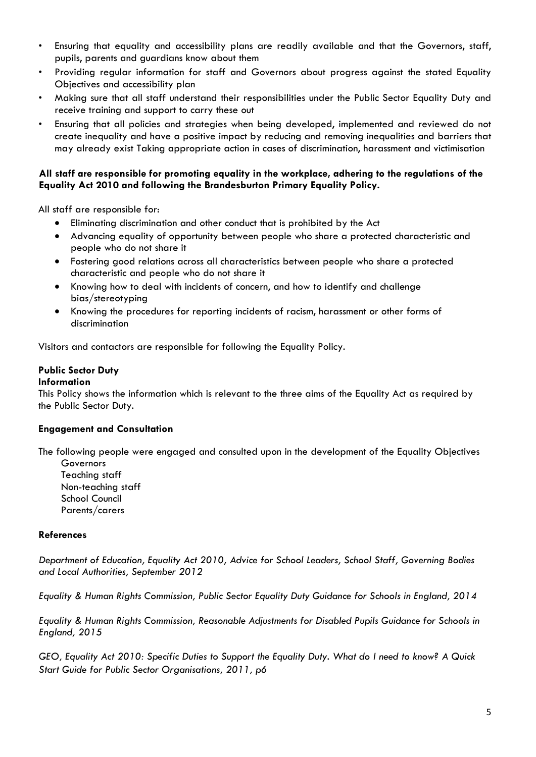- Ensuring that equality and accessibility plans are readily available and that the Governors, staff, pupils, parents and guardians know about them
- Providing regular information for staff and Governors about progress against the stated Equality Objectives and accessibility plan
- Making sure that all staff understand their responsibilities under the Public Sector Equality Duty and receive training and support to carry these out
- Ensuring that all policies and strategies when being developed, implemented and reviewed do not create inequality and have a positive impact by reducing and removing inequalities and barriers that may already exist Taking appropriate action in cases of discrimination, harassment and victimisation

#### **All staff are responsible for promoting equality in the workplace, adhering to the regulations of the Equality Act 2010 and following the Brandesburton Primary Equality Policy.**

All staff are responsible for:

- Eliminating discrimination and other conduct that is prohibited by the Act
- Advancing equality of opportunity between people who share a protected characteristic and people who do not share it
- Fostering good relations across all characteristics between people who share a protected characteristic and people who do not share it
- Knowing how to deal with incidents of concern, and how to identify and challenge bias/stereotyping
- Knowing the procedures for reporting incidents of racism, harassment or other forms of discrimination

Visitors and contactors are responsible for following the Equality Policy.

## **Public Sector Duty**

#### **Information**

This Policy shows the information which is relevant to the three aims of the Equality Act as required by the Public Sector Duty.

#### **Engagement and Consultation**

The following people were engaged and consulted upon in the development of the Equality Objectives

**Governors** Teaching staff Non-teaching staff School Council Parents/carers

#### **References**

*Department of Education, Equality Act 2010, Advice for School Leaders, School Staff, Governing Bodies and Local Authorities, September 2012* 

*Equality & Human Rights Commission, Public Sector Equality Duty Guidance for Schools in England, 2014* 

*Equality & Human Rights Commission, Reasonable Adjustments for Disabled Pupils Guidance for Schools in England, 2015* 

*GEO, Equality Act 2010: Specific Duties to Support the Equality Duty. What do I need to know? A Quick Start Guide for Public Sector Organisations, 2011, p6*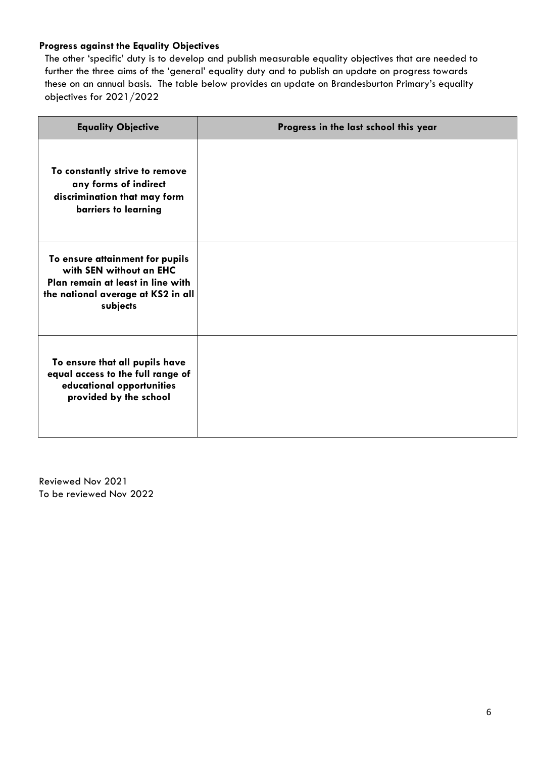## **Progress against the Equality Objectives**

The other 'specific' duty is to develop and publish measurable equality objectives that are needed to further the three aims of the 'general' equality duty and to publish an update on progress towards these on an annual basis. The table below provides an update on Brandesburton Primary's equality objectives for 2021/2022

| <b>Equality Objective</b>                                                                                                                         | Progress in the last school this year |
|---------------------------------------------------------------------------------------------------------------------------------------------------|---------------------------------------|
| To constantly strive to remove<br>any forms of indirect<br>discrimination that may form<br>barriers to learning                                   |                                       |
| To ensure attainment for pupils<br>with SEN without an EHC<br>Plan remain at least in line with<br>the national average at KS2 in all<br>subjects |                                       |
| To ensure that all pupils have<br>equal access to the full range of<br>educational opportunities<br>provided by the school                        |                                       |

Reviewed Nov 2021 To be reviewed Nov 2022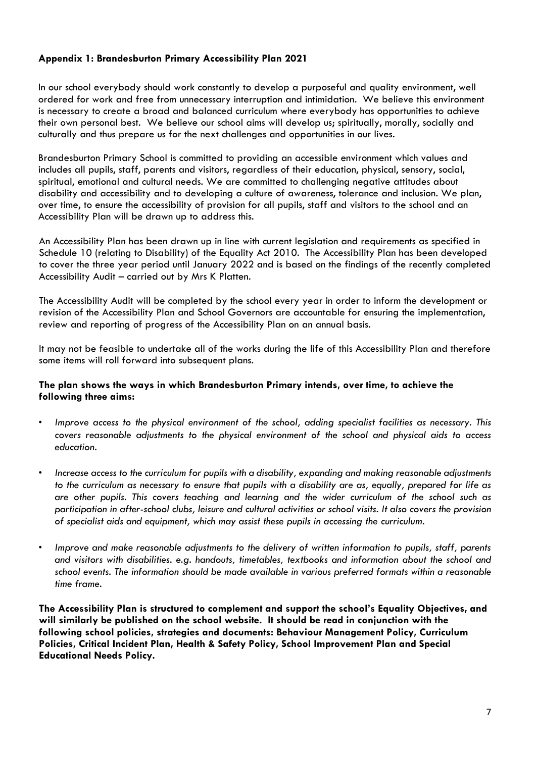## **Appendix 1: Brandesburton Primary Accessibility Plan 2021**

In our school everybody should work constantly to develop a purposeful and quality environment, well ordered for work and free from unnecessary interruption and intimidation. We believe this environment is necessary to create a broad and balanced curriculum where everybody has opportunities to achieve their own personal best. We believe our school aims will develop us; spiritually, morally, socially and culturally and thus prepare us for the next challenges and opportunities in our lives.

Brandesburton Primary School is committed to providing an accessible environment which values and includes all pupils, staff, parents and visitors, regardless of their education, physical, sensory, social, spiritual, emotional and cultural needs. We are committed to challenging negative attitudes about disability and accessibility and to developing a culture of awareness, tolerance and inclusion. We plan, over time, to ensure the accessibility of provision for all pupils, staff and visitors to the school and an Accessibility Plan will be drawn up to address this.

An Accessibility Plan has been drawn up in line with current legislation and requirements as specified in Schedule 10 (relating to Disability) of the Equality Act 2010. The Accessibility Plan has been developed to cover the three year period until January 2022 and is based on the findings of the recently completed Accessibility Audit – carried out by Mrs K Platten.

The Accessibility Audit will be completed by the school every year in order to inform the development or revision of the Accessibility Plan and School Governors are accountable for ensuring the implementation, review and reporting of progress of the Accessibility Plan on an annual basis.

It may not be feasible to undertake all of the works during the life of this Accessibility Plan and therefore some items will roll forward into subsequent plans.

#### **The plan shows the ways in which Brandesburton Primary intends, over time, to achieve the following three aims:**

- *Improve access to the physical environment of the school, adding specialist facilities as necessary. This covers reasonable adjustments to the physical environment of the school and physical aids to access education.*
- *Increase access to the curriculum for pupils with a disability, expanding and making reasonable adjustments to the curriculum as necessary to ensure that pupils with a disability are as, equally, prepared for life as are other pupils. This covers teaching and learning and the wider curriculum of the school such as participation in after-school clubs, leisure and cultural activities or school visits. It also covers the provision of specialist aids and equipment, which may assist these pupils in accessing the curriculum.*
- *Improve and make reasonable adjustments to the delivery of written information to pupils, staff, parents and visitors with disabilities. e.g. handouts, timetables, textbooks and information about the school and school events. The information should be made available in various preferred formats within a reasonable time frame.*

**The Accessibility Plan is structured to complement and support the school's Equality Objectives, and will similarly be published on the school website. It should be read in conjunction with the following school policies, strategies and documents: Behaviour Management Policy, Curriculum Policies, Critical Incident Plan, Health & Safety Policy, School Improvement Plan and Special Educational Needs Policy.**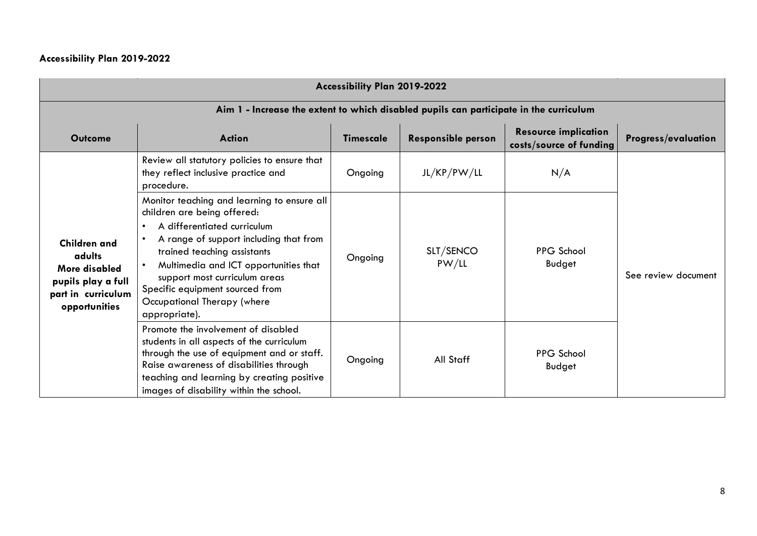# **Accessibility Plan 2019-2022**

 $\mathcal{L}^{\text{max}}$ 

| Accessibility Plan 2019-2022                                                                                |                                                                                                                                                                                                                                                                                                                                                              |                  |                           |                                                        |                            |  |
|-------------------------------------------------------------------------------------------------------------|--------------------------------------------------------------------------------------------------------------------------------------------------------------------------------------------------------------------------------------------------------------------------------------------------------------------------------------------------------------|------------------|---------------------------|--------------------------------------------------------|----------------------------|--|
| Aim 1 - Increase the extent to which disabled pupils can participate in the curriculum                      |                                                                                                                                                                                                                                                                                                                                                              |                  |                           |                                                        |                            |  |
| <b>Outcome</b>                                                                                              | <b>Action</b>                                                                                                                                                                                                                                                                                                                                                | <b>Timescale</b> | <b>Responsible person</b> | <b>Resource implication</b><br>costs/source of funding | <b>Progress/evaluation</b> |  |
|                                                                                                             | Review all statutory policies to ensure that<br>they reflect inclusive practice and<br>procedure.                                                                                                                                                                                                                                                            | Ongoing          | JL/KP/PW/LL               | N/A                                                    |                            |  |
| <b>Children and</b><br>adults<br>More disabled<br>pupils play a full<br>part in curriculum<br>opportunities | Monitor teaching and learning to ensure all<br>children are being offered:<br>A differentiated curriculum<br>$\bullet$<br>A range of support including that from<br>trained teaching assistants<br>Multimedia and ICT opportunities that<br>support most curriculum areas<br>Specific equipment sourced from<br>Occupational Therapy (where<br>appropriate). | Ongoing          | SLT/SENCO<br>PW/LL        | <b>PPG School</b><br>Budget                            | See review document        |  |
|                                                                                                             | Promote the involvement of disabled<br>students in all aspects of the curriculum<br>through the use of equipment and or staff.<br>Raise awareness of disabilities through<br>teaching and learning by creating positive<br>images of disability within the school.                                                                                           | Ongoing          | All Staff                 | <b>PPG School</b><br>Budget                            |                            |  |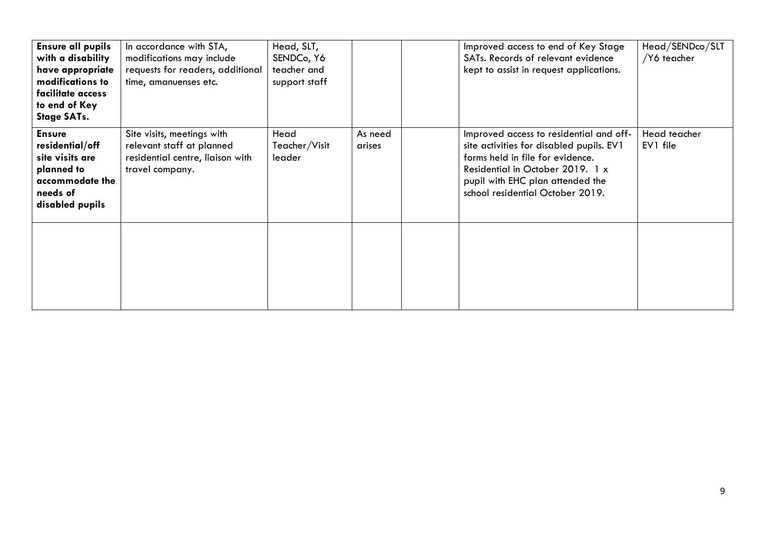| <b>Ensure all pupils</b><br>with a disability<br>have appropriate<br>modifications to<br>facilitate access<br>to end of Key<br><b>Stage SATs.</b> | In accordance with STA,<br>modifications may include<br>requests for readers, additional<br>time, amanuenses etc. | Head, SLT,<br>SENDC <sub>o</sub> , Y6<br>teacher and<br>support staff |                   | Improved access to end of Key Stage<br>SATs. Records of relevant evidence<br>kept to assist in request applications.                                                                                                                | Head/SENDco/SLT<br>/Y6 teacher |
|---------------------------------------------------------------------------------------------------------------------------------------------------|-------------------------------------------------------------------------------------------------------------------|-----------------------------------------------------------------------|-------------------|-------------------------------------------------------------------------------------------------------------------------------------------------------------------------------------------------------------------------------------|--------------------------------|
| <b>Ensure</b><br>residential/off<br>site visits are<br>planned to<br>accommodate the<br>needs of<br>disabled pupils                               | Site visits, meetings with<br>relevant staff at planned<br>residential centre, liaison with<br>travel company.    | Head<br>Teacher/Visit<br>leader                                       | As need<br>arises | Improved access to residential and off-<br>site activities for disabled pupils. EV1<br>forms held in file for evidence.<br>Residential in October 2019. 1 x<br>pupil with EHC plan attended the<br>school residential October 2019. | Head teacher<br>EV1 file       |
|                                                                                                                                                   |                                                                                                                   |                                                                       |                   |                                                                                                                                                                                                                                     |                                |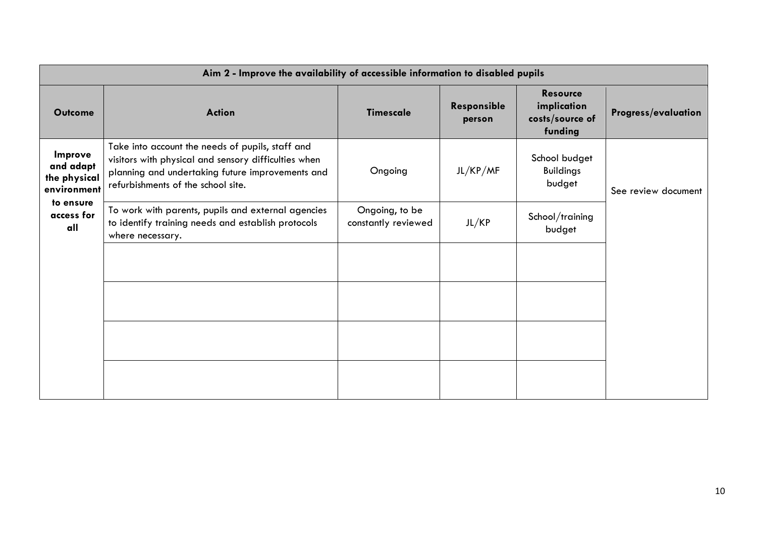| Aim 2 - Improve the availability of accessible information to disabled pupils |                                                                                                                                                                                                    |                                       |                       |                                                              |                            |
|-------------------------------------------------------------------------------|----------------------------------------------------------------------------------------------------------------------------------------------------------------------------------------------------|---------------------------------------|-----------------------|--------------------------------------------------------------|----------------------------|
| <b>Outcome</b>                                                                | <b>Action</b>                                                                                                                                                                                      | <b>Timescale</b>                      | Responsible<br>person | <b>Resource</b><br>implication<br>costs/source of<br>funding | <b>Progress/evaluation</b> |
| Improve<br>and adapt<br>the physical<br>environment                           | Take into account the needs of pupils, staff and<br>visitors with physical and sensory difficulties when<br>planning and undertaking future improvements and<br>refurbishments of the school site. | Ongoing                               | JL/KP/MF              | School budget<br><b>Buildings</b><br>budget                  | See review document        |
| to ensure<br>access for<br>all                                                | To work with parents, pupils and external agencies<br>to identify training needs and establish protocols<br>where necessary.                                                                       | Ongoing, to be<br>constantly reviewed | JL/KP                 | School/training<br>budget                                    |                            |
|                                                                               |                                                                                                                                                                                                    |                                       |                       |                                                              |                            |
|                                                                               |                                                                                                                                                                                                    |                                       |                       |                                                              |                            |
|                                                                               |                                                                                                                                                                                                    |                                       |                       |                                                              |                            |
|                                                                               |                                                                                                                                                                                                    |                                       |                       |                                                              |                            |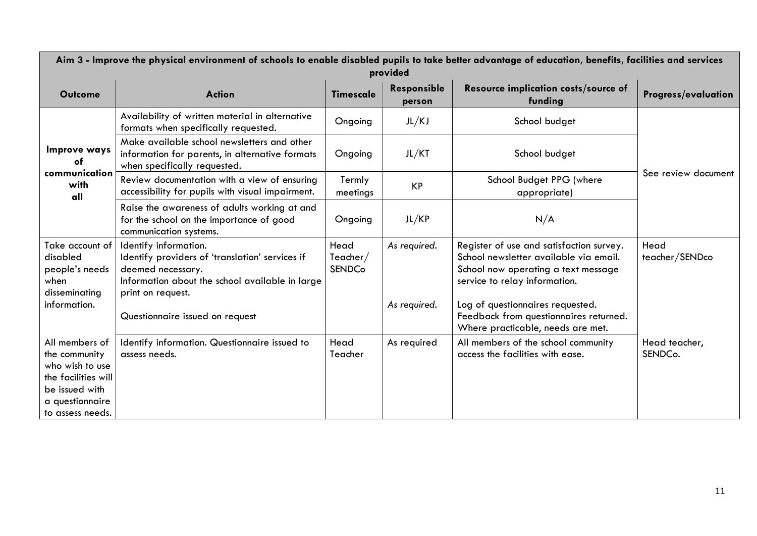| Aim 3 - Improve the physical environment of schools to enable disabled pupils to take better advantage of education, benefits, facilities and services<br>provided |                                                                                                                                                                       |                                      |                       |                                                                                                                                                            |                            |  |
|--------------------------------------------------------------------------------------------------------------------------------------------------------------------|-----------------------------------------------------------------------------------------------------------------------------------------------------------------------|--------------------------------------|-----------------------|------------------------------------------------------------------------------------------------------------------------------------------------------------|----------------------------|--|
| <b>Outcome</b>                                                                                                                                                     | <b>Action</b>                                                                                                                                                         | <b>Timescale</b>                     | Responsible<br>person | Resource implication costs/source of<br>funding                                                                                                            | <b>Progress/evaluation</b> |  |
|                                                                                                                                                                    | Availability of written material in alternative<br>formats when specifically requested.                                                                               | Ongoing                              | JL/KJ                 | School budget                                                                                                                                              |                            |  |
| Improve ways<br>of<br>communication                                                                                                                                | Make available school newsletters and other<br>information for parents, in alternative formats<br>when specifically requested.                                        | Ongoing                              | JL/KT                 | School budget                                                                                                                                              |                            |  |
| with<br>all                                                                                                                                                        | Review documentation with a view of ensuring<br>accessibility for pupils with visual impairment.                                                                      | Termly<br>meetings                   | <b>KP</b>             | School Budget PPG (where<br>appropriate)                                                                                                                   | See review document        |  |
|                                                                                                                                                                    | Raise the awareness of adults working at and<br>for the school on the importance of good<br>communication systems.                                                    | Ongoing                              | JL/KP                 | N/A                                                                                                                                                        |                            |  |
| Take account of<br>disabled<br>people's needs<br>when<br>disseminating                                                                                             | Identify information.<br>Identify providers of 'translation' services if<br>deemed necessary.<br>Information about the school available in large<br>print on request. | Head<br>Teacher $/$<br><b>SENDCo</b> | As required.          | Register of use and satisfaction survey.<br>School newsletter available via email.<br>School now operating a text message<br>service to relay information. | Head<br>teacher/SENDco     |  |
| information.                                                                                                                                                       | Questionnaire issued on request                                                                                                                                       |                                      | As required.          | Log of questionnaires requested.<br>Feedback from questionnaires returned.<br>Where practicable, needs are met.                                            |                            |  |
| All members of<br>the community<br>who wish to use<br>the facilities will<br>be issued with<br>a questionnaire<br>to assess needs.                                 | Identify information. Questionnaire issued to<br>assess needs.                                                                                                        | Head<br>Teacher                      | As required           | All members of the school community<br>access the facilities with ease.                                                                                    | Head teacher,<br>SENDCo.   |  |